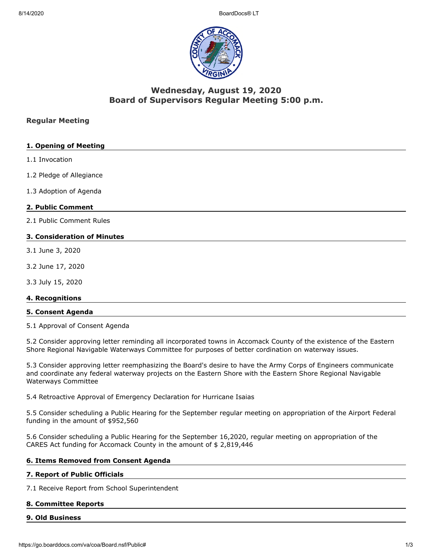

# **Wednesday, August 19, 2020 Board of Supervisors Regular Meeting 5:00 p.m.**

### **Regular Meeting**

### **1. Opening of Meeting**

- 1.1 Invocation
- 1.2 Pledge of Allegiance
- 1.3 Adoption of Agenda

#### **2. Public Comment**

2.1 Public Comment Rules

### **3. Consideration of Minutes**

- 3.1 June 3, 2020
- 3.2 June 17, 2020
- 3.3 July 15, 2020

#### **4. Recognitions**

#### **5. Consent Agenda**

5.1 Approval of Consent Agenda

5.2 Consider approving letter reminding all incorporated towns in Accomack County of the existence of the Eastern Shore Regional Navigable Waterways Committee for purposes of better cordination on waterway issues.

5.3 Consider approving letter reemphasizing the Board's desire to have the Army Corps of Engineers communicate and coordinate any federal waterway projects on the Eastern Shore with the Eastern Shore Regional Navigable Waterways Committee

5.4 Retroactive Approval of Emergency Declaration for Hurricane Isaias

5.5 Consider scheduling a Public Hearing for the September regular meeting on appropriation of the Airport Federal funding in the amount of \$952,560

5.6 Consider scheduling a Public Hearing for the September 16,2020, regular meeting on appropriation of the CARES Act funding for Accomack County in the amount of \$ 2,819,446

#### **6. Items Removed from Consent Agenda**

#### **7. Report of Public Officials**

7.1 Receive Report from School Superintendent

#### **8. Committee Reports**

#### **9. Old Business**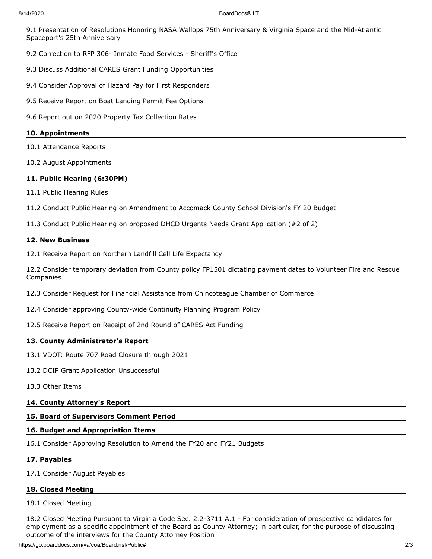9.1 Presentation of Resolutions Honoring NASA Wallops 75th Anniversary & Virginia Space and the Mid-Atlantic Spaceport's 25th Anniversary

- 9.2 Correction to RFP 306- Inmate Food Services Sheriff's Office
- 9.3 Discuss Additional CARES Grant Funding Opportunities
- 9.4 Consider Approval of Hazard Pay for First Responders
- 9.5 Receive Report on Boat Landing Permit Fee Options
- 9.6 Report out on 2020 Property Tax Collection Rates

#### **10. Appointments**

- 10.1 Attendance Reports
- 10.2 August Appointments

#### **11. Public Hearing (6:30PM)**

- 11.1 Public Hearing Rules
- 11.2 Conduct Public Hearing on Amendment to Accomack County School Division's FY 20 Budget
- 11.3 Conduct Public Hearing on proposed DHCD Urgents Needs Grant Application (#2 of 2)

#### **12. New Business**

12.1 Receive Report on Northern Landfill Cell Life Expectancy

12.2 Consider temporary deviation from County policy FP1501 dictating payment dates to Volunteer Fire and Rescue Companies

- 12.3 Consider Request for Financial Assistance from Chincoteague Chamber of Commerce
- 12.4 Consider approving County-wide Continuity Planning Program Policy
- 12.5 Receive Report on Receipt of 2nd Round of CARES Act Funding

#### **13. County Administrator's Report**

- 13.1 VDOT: Route 707 Road Closure through 2021
- 13.2 DCIP Grant Application Unsuccessful
- 13.3 Other Items

#### **14. County Attorney's Report**

#### **15. Board of Supervisors Comment Period**

#### **16. Budget and Appropriation Items**

16.1 Consider Approving Resolution to Amend the FY20 and FY21 Budgets

#### **17. Payables**

#### 17.1 Consider August Payables

#### **18. Closed Meeting**

#### 18.1 Closed Meeting

18.2 Closed Meeting Pursuant to Virginia Code Sec. 2.2-3711 A.1 - For consideration of prospective candidates for employment as a specific appointment of the Board as County Attorney; in particular, for the purpose of discussing outcome of the interviews for the County Attorney Position